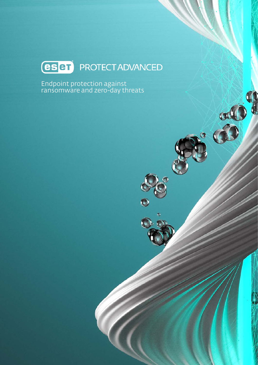## **(ESET)** PROTECT ADVANCED

**CALC** 

 $\bullet$ 

 $\ddot{\bullet}$ 

Endpoint protection against ransomware and zero-day threats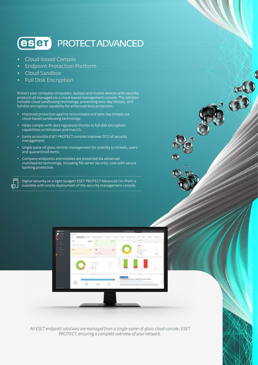### **(eser) PROTECT ADVANCED**

- Cloud-based Console
- Endpoint Protection Platform
- Cloud Sandbox

ொ.

• Full Disk Encryption

Protect your company computers, laptops and mobile devices with security products all managed via a cloud-based management console. The solution includes cloud sandboxing technology, preventing zero-day threats, and full disk encryption capability for enhanced data protection.

- Improved protection against ransomware and zero-day threats via cloud-based sandboxing technology.
- Helps comply with data regulation thanks to full disk encryption capabilities on Windows and macOS.
- Easily accessible ESET PROTECT console improves TCO of security management.
- Single-pane-of-glass remote management for visibility to threats, users and quarantined items.
- Company endpoints and mobiles are protected via advanced multilayered technology, including file server security, now with secure banking protection.

Digital security on a tight budget? ESET PROTECT Advanced On-Prem is available with onsite deployment of the security management console.



*All ESET endpoint solutions are managed from a single-pane-of-glass cloud console, ESET PROTECT, ensuring a complete overview of your network.*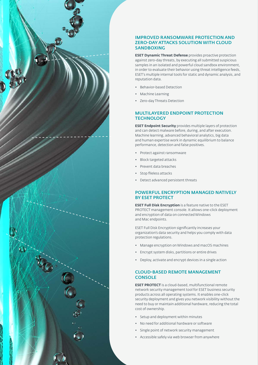

#### IMPROVED RANSOMWARE PROTECTION AND ZERO-DAY ATTACKS SOLUTION WITH CLOUD **SANDBOXING**

**ESET Dynamic Threat Defense** provides proactive protection against zero-day threats, by executing all submitted suspicious samples in an isolated and powerful cloud sandbox environment, in order to evaluate their behavior using threat intelligence feeds, ESET's multiple internal tools for static and dynamic analysis, and reputation data.

- Behavior-based Detection
- Machine Learning
- Zero-day Threats Detection

#### MULTILAYERED ENDPOINT PROTECTION TECHNOLOGY

**ESET Endpoint Security** provides multiple layers of protection and can detect malware before, during, and after execution. Machine learning, advanced behavioral analytics, big data and human expertise work in dynamic equilibrium to balance performance, detection and false positives.

- Protect against ransomware
- Block targeted attacks
- Prevent data breaches
- Stop fileless attacks
- Detect advanced persistent threats

#### POWERFUL ENCRYPTION MANAGED NATIVELY BY ESET PROTECT

**ESET Full Disk Encryption** is a feature native to the ESET PROTECT management console. It allows one-click deployment and encryption of data on connected Windows and Mac endpoints.

ESET Full Disk Encryption significantly increases your organization's data security and helps you comply with data protection regulations.

- Manage encryption on Windows and macOS machines
- Encrypt system disks, partitions or entire drives
- Deploy, activate and encrypt devices in a single action

#### CLOUD-BASED REMOTE MANAGEMENT **CONSOLE**

**ESET PROTECT** is a cloud-based, multifunctional remote network security management tool for ESET business security products across all operating systems. It enables one-click security deployment and gives you network visibility without the need to buy or maintain additional hardware, reducing the total cost of ownership.

- Setup and deployment within minutes
- No need for additional hardware or software
- Single point of network security management
- Accessible safely via web browser from anywhere